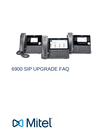

# **6900 SIP UPGRADE FAQ**

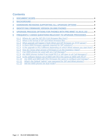## **Contents**

| $\overline{2}$  |                                                                                             |  |
|-----------------|---------------------------------------------------------------------------------------------|--|
| $\overline{3}$  |                                                                                             |  |
| 4               |                                                                                             |  |
| $\overline{5}$  | UPGRADE PROCESS OPTIONS FOR PHONES WITH PRE MINET 01.00.01.152 4                            |  |
| $6\overline{6}$ | FREQUENTLY ASKED QUESTIONS RELEVANT TO UPGRADE PROCESSES 1                                  |  |
|                 | 6.1.1                                                                                       |  |
|                 | 6.1.2                                                                                       |  |
|                 | What upgrade will happen if both Minet and SIP firmware on TFTP server?5<br>6.1.3           |  |
|                 | 6.1.4                                                                                       |  |
|                 | Is the upgrade to R5.0 different depending on which Minet release you start from?6<br>6.1.5 |  |
|                 | 6.1.6                                                                                       |  |
|                 | 6.1.7                                                                                       |  |
|                 | Are 6800 phones locked if we install R5.0 or still open to all Call Managers?<br>6.1.8      |  |
|                 | Is the software feature set of 6900 with R5.0 the same as 6800 with R5.0?<br>6.1.9          |  |
|                 | Are 6900 and 6800 with R5.0 firmware the same to configure and manage?7<br>6.1.10           |  |
|                 | What's the Default "admin" user password for SIP and Minet phones?<br>6.1.11                |  |
|                 | 6.1.12                                                                                      |  |
|                 |                                                                                             |  |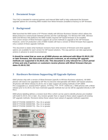## **1 Document Scope**

This FAQ is intended for external partners and internal Mitel staff to help understand the firmware upgrade options for converting 6900 models from Minet firmware (installed at factory) to SIP firmware.

## **2 Background**

Mitel launched the 6900 series of IP Phones initially with MiVoice Business Solution which utilises the Minet protocol to communicate between phones and the Call Manager. For MiVoice MX-ONE, MiVoice 5000 and MiVoice 400 platforms the 6900 models required SIP based firmware to be installed. The current version of Minet firmware supports all current methods to upgrade to the SIP firmware. However, some GA production units of 6900 models will have a version of Minet firmware that supports only a subset of these upgrade methods.

This document is states what hardware revisions have what versions of firmware and what upgrade options are available for each version for SIP.based solutions. This way partners can take appropriate actions in advance to avoid inconveniences.

**It should be noted that as soon as all 6900 phones are delivered with Minet 01.00.01.152 or later firmware, this document will become irrelevant, as all existing SIP upgrade methods are supported in 01.00.01.152. This document is only relevant for a short period of time and only if partners or customers receive phones with Minet firmware that predates 01.00.01.152.** 

### **3 Hardware Revisions Supporting All Upgrade Options**

6900 phones ship with a version of Minet firmware (specific to MiVoice Business solutions). All 6900 phones will need to be upgraded to SIP R5.0 to become interoperable with Mitel's SIP-based solutions. All phones with Minet release 01.00.01.152 or later support all existing methods of SIP (6800 R4.3.x)upgrade (i.e. several DHCP options, HTTP(s), FTP, TFTP, mDNS etc.). 6900 phones with a Minet release prior to 01.00.01.152 have restricted upgrade methods but can be still be upgraded directly to SIP R5.0.

6900 phone labelling defines a revision level (Rev:) which can be used to identify phones pre-installed with build 01.00.01.152 or later. Any revision greater than or equal to these values supports all existing SIP upgrade methods. Revisions below these values have subset of upgrade methods supported.

6920 IP PHONE (50006767) - Rev 16 or greater 6930 IP PHONE (50006769) - Rev 14 or greater 6940 IP PHONE (50006770) - Rev 12 or greater

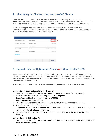## **4 Identifying the Firmware Version on 6900 Phones**

There are two methods available to determine what firmware is running on your phones. Either check the revision number of the device from the "Rev" field on the label on the back of the phone or shipping carton; or if the phone is powered on, view the firmware version via the options menu.

Press Options (gear key), then Status, then Phone Info and review the Main Version field. The firmware version format is 01.00.00.179 where 01.00.00 identifies stream 1.0 and 179 is the build. 01.00.01.152 would represent build 152 of stream 1.1

| <b>Status</b>         |                             |                        |  |  |
|-----------------------|-----------------------------|------------------------|--|--|
| Network General Info  | Main Version                | 01.02.00.091           |  |  |
| Network Persist. Data | Call Server Rev.            | 14.0.2.22              |  |  |
| Network DHCP Info     | <b>DECT Headset Version</b> | 1.7.1 1.7.1 2.23.0 95% |  |  |
| Network QoS           | Model                       | MINET_6940 Rev: 000    |  |  |
| Port Info             | Phone Uptime                | 5:00:28:12             |  |  |
| Phone Info            |                             |                        |  |  |

## **5 Upgrade Process Options for Phones pre Minet 01.00.01.152**

As all phones with 01.00.01.152 or later offer upgrade processes to any existing SIP firmware release, there is no need to carry out upgrade options for those phones. If unfamiliar with our methods, please refer to the administrator guide for R5.0 6800/6900 phones or to the installation guides of the appropriate Call Manager solution you have.

Specifically, for phones with firmware that pre-dates this, the following options are available.

**Method 1:** use static settings for a TFTP server

- 1. Place the SIP firmware files on the TFTP Server (ensure that no MiNet files are present).
- 2. Press the Gear button to go into Settings on the 6900 IP phone.
- 3. Select Advanced Settings (default password is 73738).
- 4. Select Network and Static Settings.
- 5. Enter the IP address of the TFTP server (ensure your IP phone has an IP address assigned)
- 6. Select Restart through the Settings App.
- 7. The pPhone will attempt to download MiNet firmware from the TFTP server. When not found, it will subsequently download the SIP firmware.
- 8. Once the 6900 phone is upgraded to the SIP build, optionally remove the files from the TFTP directory.

#### **Method 2:** use DHCP option 43

1. Place the SIP firmware files on the TFTP Server. Alternatively an FTP Server can be used (ensure that no MiNet files are present).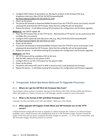- 2. Configure DHCP option 43 parameter sw\_tftp tag for location of the firmware files (e.g. id:ipphone.mitel.com; tftp://10.30.102.91/firmwarefilesDIR; ftp://test:Aastra123@10.30.102.91/5.0.0.143)
- 3. Power up the phone.
- 4. The phone will attempt to download MiNet firmware from the TFTP/FTP server (not found), and will subsequently download the SIP firmware. Note that the config file will not download.
- 5. Reboot the phone it will follow existing SIP procedures for configuration and firmware upgrades.

#### **Method 3:** use DHCP option 66

- 1. Place the SIP firmware files on the TFTP Server . Alternatively an FTP Server can be used (ensure that no MiNet files are present).
- 2. Configure DHCP option 66 with tftp server URL (e.g. tftp://10.30.102.91/firmwarefilesDIR; ftp://test:Aastra123@10.30.102.91/5.0.0.143)
- 3. Power up the phone.
- 4. The phone will attempt to download MiNet firmware from the TFTP/FTP server (not found)‐ It will subsequently download the SIP firmware. Note that the config file will not be downloaded.
- 5. Reboot the phone it will follow existing SIP procedures for configuration and firmware upgrades.

#### **Method 4:** use RCS

- 1. SIP 5.0 firmware will be available at RCS at GA time.
- 2. Add the MAC address for the phone to RCS.
- 3. Configure RCS to use SIP 5.0 firmware for the phone's MAC.
- 4. Power up the phone.
- 5. The phone will contact RCS and if its MAC is found on RCS it will download the firmware.
- 6. Reboot the phone it will follow existing SIP procedures for configuration and firmware upgrades.

## **6 Frequently Asked Questions Relevant To Upgrade Processes**

#### 6.1.1 **Where do I get the SIP R5.0 GA firmware files from?**

The firmware will be posted in locations relevant to the MiVoice MX-ONE, MiVoice 5000 and MiVoice Office 400 platforms. Please consult your Call Manager specific contact for more information.

#### 6.1.2 **What is the format of SIP and Minet firmware files**

Typically, the files are 6940.st (for SIP) and MINET\_6940-enc.st (for Minet).

#### 6.1.3 **What upgrade will happen if both Minet and SIP firmware are on the TFTP server?**

A Minet firmware image will first look to upgrade to a Minet firmware file. If there is no Minet firmware available, then a Minet firmware will subsequently look for a SIP firmware image. Partners should be aware of this fact and not leave unwanted firmware images on servers – i.e. if in a SIP environment, only SIP firmware images should be present on servers.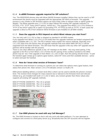#### 6.1.4 **Is a6900 firmware upgrade required for SIP solutions?**

Yes. The 6920/30/40 phones ship with Minet (MiVB) firmware installed. Before they can be used in a SIP environment the phone must be upgraded with the appropriate SIP 69x0.st firmware. The upgrade process is very similar to SIP firmware options we have today (refer to release notes or admin guide for details). The Minet upgrade from 1.1.0.152 (or later) follows the existing SIP upgrade methods (i.e. HTTP(s), FTP, TFTP, many DHCP options, mDNS etc.). The upgrade from Minet 1.0.0.179 is limited to TFTP or the DHCP option 66 or option 43 (providing FTP, HTTP(S) as well as TFTP). In both cases the upgrade is direct to R5.0 from whatever Minet firmware is pre-installed on all 6900 models.

#### 6.1.5 **Does the upgrade to R5.0 depend on which Minet release you start from?**

Yes, but only until 1.0.1.152 or later is shipped as standard in all 6900 models.

If you upgrade from Minet 1.0.0.179 (1.0 GA build) then the upgrade methods are limited compared with what's available with 1.0.1.152. The R5.0 release notes explain the various methods. Basically once 1.0.1.152 ships from the factory then all upgrade methods that exist within 6800 SIP R4.3.x will be supported from the Minet firmware. This will mean that the upgrade is like any other SIP upgrade and all partners will be familiar with the process.

There is one other difference specific to the BT Handset on the 6940 – this may need pairing. If the upgrade to the R5.0 is from Minet 1.0.0.179 then the BT pairing of the cordless handset to the 6940 phone may be lost. If the upgrade is from Minet 1.0.1.152 or later, then the pairing should remain. To pair the handset again simply go to options (gear button), select BT menu and then available devices – press to select and pair the handset.

#### 6.1.6 **How do I know what version of firmware I have?**

To determine what firmware is running on a phone you can select the options menu (gear button), then status then phone info. Main version 1.0.0.179 indicates version 1.0 build 179.

6900 phone labelling defines a revision level (Rev:) which can be used to identify the phone's revision level. The revision level changes for many reasons but is relevant to the firmware level and relevant release (e.g. pre-installed with build 1.0.1.152 or later), any revision greater than these values also supports all existing SIP upgrade methods.

6920 IP PHONE (50006767) - Rev 16 or greater 6930 IP PHONE (50006769) - Rev 14 or greater 6940 IP PHONE (50006770) - Rev 12 or greater



#### 6.1.7 **Can 6900 phones be used with any Call Manager?**

No. The 6900 firmware is locked so that it will only work with Mitel platforms. If a user attempts to configure and connect to a third-party server (e.g. Broadsoft) then the SIP accounts will not register.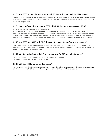#### 6.1.8 **Are 6800 phones locked if we install R5.0 or still open to all Call Managers?**

The 6800 series phones are sold into Open Standards market (Broadsoft, Asterisk etc.) as well as behind Mitel solutions (MX-ONE, 5000, 400, Telepo, etc.). They will continue to be open and R5.0 does not lock them to Mitel platforms.

#### 6.1.9 **Is the software feature set of 6900 with R5.0 the same as 6800 with R5.0?**

No. There are some differences to be aware of:

Firstly all the 6900 and 6800 share the same code base, so 98% is common. The 6900 has some additional features – like mobile integration, but it also does not have some that are supported on 6800 – for example TR069. This is because the 6900's are sold only with Mitel solutions versus 6800 into Mitel and third party solutions. So 6900 does not need to support Broadsoft specific features as an example.

#### 6.1.10 **Are 6900 and 6800 with R5.0 firmware the same to configure and manage?**

Yes. Whilst there are some differences in supported features that phones share common configuration and management methods – same config files, same config options, same config syntax etc. If you know 6800 phones, you know 6900 phones!

#### 6.1.11 **What's the Default "admin" user password for SIP and Minet phones?**

For R5.0 on 6800 or 6900 firmware the admin password is "22222". For Minet firmware its "73738" - i.e. (RESET)

#### 6.1.12 **Will the 6900 phones be dual mode?**

Yes. Once SIP R5.0 has been released, customers who purchased the Minet versions will be able to convert them to SIP for use on Mitel's SIP-based platforms. Upgrade to/from SIP to/from Minet is supported.